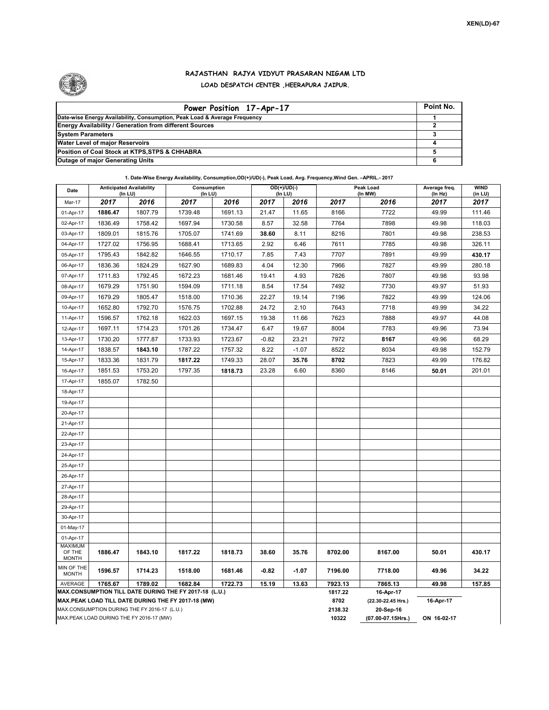

## **RAJASTHAN RAJYA VIDYUT PRASARAN NIGAM LTD LOAD DESPATCH CENTER ,HEERAPURA JAIPUR.**

| Power Position 17-Apr-17                                                  | Point No. |
|---------------------------------------------------------------------------|-----------|
| Date-wise Energy Availability, Consumption, Peak Load & Average Frequency |           |
| <b>Energy Availability / Generation from different Sources</b>            |           |
| <b>System Parameters</b>                                                  |           |
| <b>Water Level of major Reservoirs</b>                                    |           |
| Position of Coal Stock at KTPS, STPS & CHHABRA                            |           |
| <b>Outage of major Generating Units</b>                                   |           |

**1. Date-Wise Energy Availability, Consumption,OD(+)/UD(-), Peak Load, Avg. Frequency,Wind Gen. –APRIL.- 2017**

| Date                                     |                                              | <b>Anticipated Availability</b><br>$OD(+)/UD(-)$<br>Consumption<br>(In LU)<br>$($ In LU $)$<br>(In LU) |                                                                                                              |         |                   | Peak Load<br>(In MW) | Average freq.<br>(In Hz) | <b>WIND</b><br>(in LU)          |           |        |  |  |
|------------------------------------------|----------------------------------------------|--------------------------------------------------------------------------------------------------------|--------------------------------------------------------------------------------------------------------------|---------|-------------------|----------------------|--------------------------|---------------------------------|-----------|--------|--|--|
| Mar-17                                   | 2017                                         | 2016                                                                                                   | 2017                                                                                                         | 2016    | 2017              | 2016                 | 2017                     | 2016                            | 2017      | 2017   |  |  |
| 01-Apr-17                                | 1886.47                                      | 1807.79                                                                                                | 1739.48                                                                                                      | 1691.13 | 21.47             | 11.65                | 8166                     | 7722                            | 49.99     | 111.46 |  |  |
| 02-Apr-17                                | 1836.49                                      | 1758.42                                                                                                | 1697.94                                                                                                      | 1730.58 | 8.57              | 32.58                | 7764                     | 7898                            | 49.98     | 118.03 |  |  |
| 03-Apr-17                                | 1809.01                                      | 1815.76                                                                                                | 1705.07                                                                                                      | 1741.69 | 38.60             | 8.11                 | 8216                     | 7801                            | 49.98     | 238.53 |  |  |
| 04-Apr-17                                | 1727.02                                      | 1756.95                                                                                                | 1688.41                                                                                                      | 1713.65 | 2.92              | 6.46                 | 7611                     | 7785                            | 49.98     | 326.11 |  |  |
| 05-Apr-17                                | 1795.43                                      | 1842.82                                                                                                | 1646.55                                                                                                      | 1710.17 | 7.85              | 7.43                 | 7707                     | 7891                            | 49.99     | 430.17 |  |  |
| 06-Apr-17                                | 1836.36                                      | 1824.29                                                                                                | 1627.90                                                                                                      | 1689.83 | 4.04              | 12.30                | 7966                     | 7827                            | 49.99     | 280.18 |  |  |
| 07-Apr-17                                | 1711.83                                      | 1792.45                                                                                                | 1672.23                                                                                                      | 1681.46 | 19.41             | 4.93                 | 7826                     | 7807                            | 49.98     | 93.98  |  |  |
| 08-Apr-17                                | 1679.29                                      | 1751.90                                                                                                | 1594.09                                                                                                      | 1711.18 | 8.54              | 17.54                | 7492                     | 7730                            | 49.97     | 51.93  |  |  |
| 09-Apr-17                                | 1679.29                                      | 1805.47                                                                                                | 1518.00                                                                                                      | 1710.36 | 22.27             | 19.14                | 7196                     | 7822                            | 49.99     | 124.06 |  |  |
| 10-Apr-17                                | 1652.80                                      | 1792.70                                                                                                | 1576.75                                                                                                      | 1702.88 | 24.72             | 2.10                 | 7643                     | 7718                            | 49.99     | 34.22  |  |  |
| 11-Apr-17                                | 1596.57                                      | 1762.18                                                                                                | 1622.03                                                                                                      | 1697.15 | 19.38             | 11.66                | 7623                     | 7888                            | 49.97     | 44.08  |  |  |
| 12-Apr-17                                | 1697.11                                      | 1714.23                                                                                                | 1701.26                                                                                                      | 1734.47 | 6.47              | 19.67                | 8004                     | 7783                            | 49.96     | 73.94  |  |  |
| 13-Apr-17                                | 1730.20                                      | 1777.87                                                                                                | 1733.93                                                                                                      | 1723.67 | $-0.82$           | 23.21                | 7972                     | 8167                            | 49.96     | 68.29  |  |  |
| 14-Apr-17                                | 1838.57                                      | 1843.10                                                                                                | 1787.22                                                                                                      | 1757.32 | 8.22              | $-1.07$              | 8522                     | 8034                            | 49.98     | 152.79 |  |  |
| 15-Apr-17                                | 1833.36                                      | 1831.79                                                                                                | 1817.22                                                                                                      | 1749.33 | 28.07             | 35.76                | 8702                     | 7823                            | 49.99     | 176.82 |  |  |
| 16-Apr-17                                | 1851.53                                      | 1753.20                                                                                                | 1797.35                                                                                                      | 1818.73 | 23.28             | 6.60                 | 8360                     | 8146                            | 50.01     | 201.01 |  |  |
| 17-Apr-17                                | 1855.07                                      | 1782.50                                                                                                |                                                                                                              |         |                   |                      |                          |                                 |           |        |  |  |
| 18-Apr-17                                |                                              |                                                                                                        |                                                                                                              |         |                   |                      |                          |                                 |           |        |  |  |
| 19-Apr-17                                |                                              |                                                                                                        |                                                                                                              |         |                   |                      |                          |                                 |           |        |  |  |
| 20-Apr-17                                |                                              |                                                                                                        |                                                                                                              |         |                   |                      |                          |                                 |           |        |  |  |
| 21-Apr-17                                |                                              |                                                                                                        |                                                                                                              |         |                   |                      |                          |                                 |           |        |  |  |
| 22-Apr-17                                |                                              |                                                                                                        |                                                                                                              |         |                   |                      |                          |                                 |           |        |  |  |
| 23-Apr-17                                |                                              |                                                                                                        |                                                                                                              |         |                   |                      |                          |                                 |           |        |  |  |
| 24-Apr-17                                |                                              |                                                                                                        |                                                                                                              |         |                   |                      |                          |                                 |           |        |  |  |
| 25-Apr-17                                |                                              |                                                                                                        |                                                                                                              |         |                   |                      |                          |                                 |           |        |  |  |
| 26-Apr-17                                |                                              |                                                                                                        |                                                                                                              |         |                   |                      |                          |                                 |           |        |  |  |
| 27-Apr-17                                |                                              |                                                                                                        |                                                                                                              |         |                   |                      |                          |                                 |           |        |  |  |
| 28-Apr-17                                |                                              |                                                                                                        |                                                                                                              |         |                   |                      |                          |                                 |           |        |  |  |
| 29-Apr-17                                |                                              |                                                                                                        |                                                                                                              |         |                   |                      |                          |                                 |           |        |  |  |
| 30-Apr-17                                |                                              |                                                                                                        |                                                                                                              |         |                   |                      |                          |                                 |           |        |  |  |
| 01-May-17                                |                                              |                                                                                                        |                                                                                                              |         |                   |                      |                          |                                 |           |        |  |  |
| 01-Apr-17                                |                                              |                                                                                                        |                                                                                                              |         |                   |                      |                          |                                 |           |        |  |  |
| <b>MAXIMUM</b><br>OF THE<br><b>MONTH</b> | 1886.47                                      | 1843.10                                                                                                | 1817.22                                                                                                      | 1818.73 | 38.60             | 35.76                | 8702.00                  | 8167.00                         | 50.01     | 430.17 |  |  |
| MIN OF THE<br><b>MONTH</b>               | 1596.57                                      | 1714.23                                                                                                | 1518.00                                                                                                      | 1681.46 | $-0.82$           | $-1.07$              | 7196.00                  | 7718.00                         | 49.96     | 34.22  |  |  |
| AVERAGE                                  | 1765.67                                      | 1789.02                                                                                                | 1682.84                                                                                                      | 1722.73 | 15.19             | 13.63                | 7923.13                  | 7865.13                         | 49.98     | 157.85 |  |  |
|                                          |                                              |                                                                                                        | MAX.CONSUMPTION TILL DATE DURING THE FY 2017-18 (L.U.)<br>MAX.PEAK LOAD TILL DATE DURING THE FY 2017-18 (MW) |         | 1817.22<br>8702   | 16-Apr-17            |                          |                                 |           |        |  |  |
|                                          | MAX.CONSUMPTION DURING THE FY 2016-17 (L.U.) |                                                                                                        |                                                                                                              |         |                   |                      | 2138.32                  | (22.30-22.45 Hrs.)<br>20-Sep-16 | 16-Apr-17 |        |  |  |
|                                          | MAX.PEAK LOAD DURING THE FY 2016-17 (MW)     |                                                                                                        |                                                                                                              | 10322   | (07.00-07.15Hrs.) | ON 16-02-17          |                          |                                 |           |        |  |  |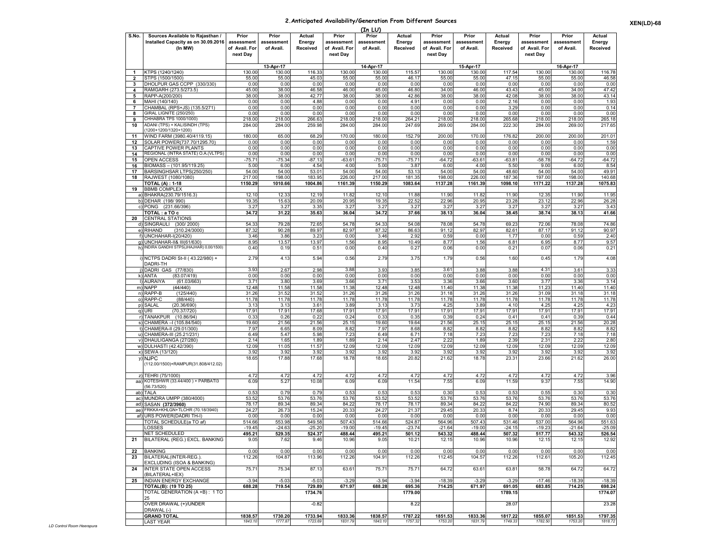## **2.Anticipated Availability/Generation From Different Sources**

|                                      |                                                                                    |                                                  |                                  |                              |                                                  | (In LU)                          |                              |                                                  |                                  |                              |                                                  |                                  |                              |
|--------------------------------------|------------------------------------------------------------------------------------|--------------------------------------------------|----------------------------------|------------------------------|--------------------------------------------------|----------------------------------|------------------------------|--------------------------------------------------|----------------------------------|------------------------------|--------------------------------------------------|----------------------------------|------------------------------|
| S.No.                                | Sources Available to Rajasthan /<br>Installed Capacity as on 30.09.2016<br>(In MW) | Prior<br>assessment<br>of Avail. For<br>next Day | Prior<br>assessment<br>of Avail. | Actual<br>Energy<br>Received | Prior<br>assessment<br>of Avail. For<br>next Day | Prior<br>assessment<br>of Avail. | Actual<br>Energy<br>Received | Prior<br>assessment<br>of Avail. For<br>next Day | Prior<br>assessment<br>of Avail. | Actual<br>Energy<br>Received | Prior<br>assessment<br>of Avail. For<br>next Day | Prior<br>assessment<br>of Avail. | Actual<br>Energy<br>Received |
|                                      |                                                                                    |                                                  |                                  |                              |                                                  |                                  |                              |                                                  |                                  |                              |                                                  |                                  |                              |
|                                      |                                                                                    |                                                  | 13-Apr-17                        |                              |                                                  | 14-Apr-17                        |                              |                                                  | 15-Apr-17                        |                              |                                                  | 16-Apr-17                        |                              |
| $\blacktriangleleft$<br>$\mathbf{z}$ | KTPS (1240/1240)<br>STPS (1500/1500)                                               | 130.00<br>55.00                                  | 130.00<br>55.00                  | 116.33<br>45.03              | 130.00<br>55.00                                  | 130.00<br>55.00                  | 115.57<br>46.17              | 130.00<br>55.00                                  | 130.00<br>55.00                  | 117.54<br>47.15              | 130.00<br>55.00                                  | 130.00<br>55.00                  | 116.78<br>46.58              |
| 3                                    | DHOLPUR GAS CCPP (330/330)                                                         | 0.00                                             | 0.00                             | 0.00                         | 0.00                                             | 0.00                             | 0.00                         | 0.00                                             | 0.00                             | 0.00                         | 0.00                                             | 0.00                             | 0.00                         |
| 4                                    | RAMGARH (273.5/273.5)                                                              | 45.00                                            | 38.00                            | 46.58                        | 46.00                                            | 45.00                            | 46.80                        | 34.00                                            | 46.00                            | 43.43                        | 45.00                                            | 34.00                            | 47.42                        |
| 5                                    | RAPP-A(200/200)                                                                    | 38.00                                            | 38.00                            | 42.77                        | 38.00                                            | 38.00                            | 42.86                        | 38.00                                            | 38.00                            | 42.08                        | 38.00                                            | 38.00                            | 43.14                        |
| 6                                    | MAHI (140/140)                                                                     | 0.00                                             | 0.00                             | 4.88                         | 0.00                                             | 0.00                             | 4.91                         | 0.00                                             | 0.00                             | 2.16                         | 0.00                                             | 0.00                             | 1.93                         |
| 7                                    | CHAMBAL (RPS+JS) (135.5/271)                                                       | 0.00                                             | 0.00                             | 0.00                         | 0.00                                             | 0.00                             | 0.00                         | 0.00                                             | 0.00                             | 3.29                         | 0.00                                             | 0.00                             | 0.14                         |
| 8<br>9                               | GIRAL LIGNITE (250/250)<br>CHHABRA TPS 1000/1000)                                  | 0.00<br>218.00                                   | 0.00<br>218.00                   | 0.00<br>266.63               | 0.00<br>218.00                                   | 0.00<br>218.00                   | 0.00<br>264.2'               | 0.00<br>218.00                                   | 0.00<br>218.00                   | 0.00                         | 0.00<br>218.00                                   | 0.00<br>218.00                   | 0.00<br>265.18               |
| 10                                   | ADANI (TPS) + KALISINDH (TPS)                                                      | 284.00                                           | 284.00                           | 259.98                       | 284.00                                           | 284.00                           | 247.69                       | 269.00                                           | 284.00                           | 265.68<br>222.30             | 284.00                                           | 269.00                           | 217.65                       |
|                                      | 1200+1200/1320+1200)                                                               |                                                  |                                  |                              |                                                  |                                  |                              |                                                  |                                  |                              |                                                  |                                  |                              |
| 11                                   | WIND FARM (3980.40/4119.15)                                                        | 180.00                                           | 65.00                            | 68.29                        | 170.00                                           | 180.00                           | 152.79                       | 200.00                                           | 170.00                           | 176.82                       | 200.00                                           | 200.00                           | 201.01                       |
| 12                                   | SOLAR POWER(737.70/1295.70)                                                        | 0.00                                             | 0.00                             | 0.00                         | 0.00                                             | 0.00                             | 0.00                         | 0.00                                             | 0.00                             | 0.00                         | 0.00                                             | 0.00                             | 1.59                         |
| 13                                   | <b>CAPTIVE POWER PLANTS</b>                                                        | 0.00                                             | 0.00                             | 0.00                         | 0.00                                             | 0.00                             | 0.00                         | 0.00                                             | 0.00                             | 0.00                         | 0.00                                             | 0.00                             | 0.00                         |
| 14                                   | REGIONAL (INTRA STATE) O.A.(VLTPS)                                                 | 0.00                                             | 0.00                             | 0.00                         | 0.00                                             | 0.00<br>$-75.71$                 | 0.00                         | 0.00                                             | 0.00                             | 0.00                         | 0.00                                             | 0.00                             | 0.00                         |
| 15<br>16                             | OPEN ACCESS<br>BIOMASS – (101.95/119.25)                                           | $-75.7$<br>5.00                                  | $-75.34$<br>6.00                 | $-87.13$<br>4.54             | $-63.61$<br>4.00                                 | 5.00                             | $-75.71$<br>3.87             | $-64.72$<br>6.00                                 | $-63.6$<br>4.00                  | $-63.81$<br>5.50             | $-58.78$<br>9.00                                 | $-64.72$<br>6.00                 | $-64.72$<br>8.54             |
| 17                                   | BARSINGHSAR LTPS(250/250)                                                          | 54.00                                            | 54.00                            | 53.01                        | 54.00                                            | 54.00                            | 53.13                        | 54.00                                            | 54.00                            | 48.60                        | 54.00                                            | 54.00                            | 49.91                        |
| 18                                   | RAJWEST (1080/1080)                                                                | 217.00                                           | 198.00                           | 183.95                       | 226.00                                           | 217.00                           | 181.35                       | 198.0                                            | 226.00                           | 187.36                       | 197.0                                            | 198.00                           | 140.68                       |
|                                      | TOTAL (A) : 1-18                                                                   | 1150.29                                          | 1010.66                          | 1004.86                      | 1161.39                                          | 1150.29                          | 1083.64                      | 1137.28                                          | 1161.39                          | 1098.10                      | 1171.22                                          | 1137.28                          | 1075.83                      |
| 19                                   | <b>BBMB COMPLEX</b>                                                                |                                                  |                                  |                              |                                                  |                                  |                              |                                                  |                                  |                              |                                                  |                                  |                              |
|                                      | a) BHAKRA(230.79/1516.3)                                                           | 12.10                                            | 12.33                            | 12.19                        | 11.82                                            | 12.10                            | 11.88                        | 11.90                                            | 11.82                            | 11.90                        | 12.35                                            | 11.90                            | 11.95                        |
| c)                                   | b) DEHAR (198/990)<br>PONG (231.66/396)                                            | 19.35<br>3.2                                     | 15.63<br>3.27                    | 20.09<br>3.35                | 20.95<br>3.27                                    | 19.35<br>3.27                    | 22.52<br>3.27                | 22.96<br>3.27                                    | 20.95<br>3.2                     | 23.28<br>3.27                | 23.12<br>3.27                                    | 22.96<br>3.2                     | 26.28<br>3.43                |
|                                      | TOTAL : a TO c                                                                     | 34.72                                            | 31.22                            | 35.63                        | 36.04                                            | 34.72                            | 37.66                        | 38.13                                            | 36.04                            | 38.45                        | 38.74                                            | 38.13                            | 41.66                        |
| 20                                   | CENTRAL STATIONS                                                                   |                                                  |                                  |                              |                                                  |                                  |                              |                                                  |                                  |                              |                                                  |                                  |                              |
| d)                                   | SINGRAULI (300/2000)                                                               | 54.33                                            | 79.28                            | 72.65                        | 54.78                                            | 54.33                            | 54.08                        | 78.08                                            | 54.78                            | 69.23                        | 72.06                                            | 78.08                            | 74.86                        |
| e)                                   | RIHAND<br>(310.24/3000)                                                            | 87.32                                            | 90.28                            | 89.97                        | 82.97                                            | 87.32                            | 86.63                        | 91.12                                            | 82.97                            | 82.61                        | 87.17                                            | 91.12                            | 90.97                        |
|                                      | JNCHAHAR-I(20/420)                                                                 | 3.46                                             | 3.86                             | 3.23                         | 0.00                                             | 3.46                             | 2.92                         | 0.59                                             | 0.00                             | 1.77                         | 0.00                                             | 0.59                             | 2.40                         |
| g)                                   | JNCHAHAR-II& III(61/630)                                                           | 8.95                                             | 13.57                            | 13.97                        | 1.56                                             | 8.95                             | 10.49                        | 8.77                                             | 1.56                             | $6.8^{\circ}$                | 6.95                                             | 8.77                             | 9.57                         |
| h)                                   | INDIRA GANDHI STPS(JHAJHAR) 0.00/1500)                                             | 0.40                                             | 0.19                             | 0.5 <sup>1</sup>             | 0.00                                             | 0.40                             | 0.27                         | 0.06                                             | 0.00                             | 0.21                         | 0.07                                             | 0.06                             | 0.21                         |
|                                      | i) NCTPS DADRI St-II (43.22/980) +<br>DADRI-TH                                     | 2.79                                             | 4.13                             | 5.94                         | 0.56                                             | 2.79                             | 3.75                         | 1.79                                             | 0.56                             | 1.60                         | 0.45                                             | 1.79                             | 4.08                         |
|                                      | DADRI GAS (77/830)                                                                 | 3.93                                             | 2.67                             | 2.98                         | 3.88                                             | 3.93                             | 3.85                         | 3.61                                             | 3.88                             | 3.88                         | 4.31                                             | 3.6 <sup>2</sup>                 | 3.33                         |
|                                      | k) ANTA<br>(83.07/419)                                                             | 0.00                                             | 0.00                             | 0.00                         | 0.00                                             | 0.00                             | 0.00                         | 0.00                                             | 0.00                             | 0.00                         | 0.00                                             | 0.00                             | 0.00                         |
|                                      | I) AURAIYA<br>(61.03/663)                                                          | 3.7'                                             | 3.80                             | 3.69                         | 3.66                                             | 3.71                             | 3.53                         | 3.36                                             | 3.66                             | 3.60                         | 3.7                                              | 3.36                             | 3.14                         |
| m)<br>n)                             | NAPP<br>(44/440)<br>RAPP-B<br>(125/440)                                            | 12.48<br>31.26                                   | 11.58<br>31.52                   | 11.58<br>31.52               | 11.38<br>31.26                                   | 12.48<br>31.26                   | 12.48<br>31.26               | 11.40<br>31.18                                   | 11.38<br>31.26                   | 11.38<br>31.26               | 11.2<br>31.09                                    | 11.40<br>31.18                   | 11.40<br>31.18               |
| o)                                   | RAPP-C<br>(88/440)                                                                 | 11.78                                            | 11.78                            | 11.78                        | 11.78                                            | 11.78                            | 11.78                        | 11.78                                            | 11.78                            | 11.78                        | 11.78                                            | 11.78                            | 11.78                        |
| p)                                   | (20.36/690)<br>SALAL                                                               | 3.13                                             | 3.13                             | 3.61                         | 3.89                                             | 3.13                             | 3.73                         | 4.25                                             | 3.89                             | 4.10                         | 4.25                                             | 4.25                             | 4.23                         |
| q)                                   | URI<br>(70.37/720)                                                                 | 17.91                                            | 17.91                            | 17.68                        | 17.91                                            | 17.91                            | 17.91                        | 17.91                                            | 17.91                            | 17.91                        | 17.91                                            | 17.91                            | 17.91                        |
| r)                                   | TANAKPUR (10.86/94)                                                                | 0.33                                             | 0.26                             | 0.22                         | 0.24                                             | 0.33                             | 0.35                         | 0.39                                             | 0.24                             | 0.41                         | 0.41                                             | 0.39                             | 0.44                         |
|                                      | CHAMERA - (105.84/540)                                                             | 19.60                                            | 21.56                            | 21.56                        | 25.15                                            | 19.60                            | 19.64                        | 21.56                                            | 25.15                            | 25.15                        | 25.15                                            | 21.56                            | 20.28                        |
| $\uparrow$<br>u)                     | CHAMERA-II (29.01/300)<br>CHAMERA-III (25.21/231                                   | 7.97<br>6.49                                     | 6.65<br>5.47                     | 8.09<br>5.98                 | 8.82<br>7.23                                     | 7.97<br>6.49                     | 8.68<br>6.7'                 | 8.82<br>7.18                                     | 8.82<br>7.23                     | 8.82<br>7.23                 | 8.82<br>7.2                                      | 8.82<br>7.18                     | 8.82<br>7.18                 |
| V)                                   | DHAULIGANGA (27/280)                                                               | 2.14                                             | 1.65                             | 1.89                         | 1.89                                             | 2.14                             | 2.47                         | 2.22                                             | 1.89                             | 2.39                         | 2.31                                             | 2.22                             | 2.80                         |
|                                      | w) DULHASTI (42.42/390)                                                            | 12.09                                            | 11.05                            | 11.57                        | 12.09                                            | 12.09                            | 12.09                        | 12.09                                            | 12.09                            | 12.09                        | 12.09                                            | 12.09                            | 12.09                        |
| x)                                   | SEWA (13/120)                                                                      | 3.92                                             | 3.92                             | 3.92                         | 3.92                                             | 3.92                             | 3.92                         | 3.92                                             | 3.92                             | 3.92                         | 3.92                                             | 3.92                             | 3.92                         |
|                                      | y) NJPC<br>(112.00/1500)+RAMPUR(31.808/412.02)                                     | 18.65                                            | 17.88                            | 17.68                        | 18.78                                            | 18.65                            | 20.82                        | 21.62                                            | 18.78                            | 23.3'                        | 23.66                                            | 21.62                            | 26.00                        |
|                                      | z) TEHRI (75/1000)                                                                 | 4.72                                             | 4.72                             | 4.72                         | 4.72                                             | 4.72                             | 4.72                         | 4.72                                             | 4.72                             | 4.72                         | 4.72                                             | 4.72                             | 3.96                         |
| aa)                                  | (OTESHWR (33.44/400) + PARBATI3                                                    | 6.09                                             | 5.27                             | 10.08                        | 6.09                                             | 6.09                             | 11.54                        | 7.55                                             | 6.09                             | 11.59                        | 9.37                                             | 7.55                             | 14.90                        |
|                                      | 56.73/520)                                                                         |                                                  |                                  |                              |                                                  |                                  |                              |                                                  |                                  |                              |                                                  |                                  |                              |
| ab)                                  | TALA                                                                               | 0.53                                             | 0.79                             | 0.79                         | 0.53                                             | 0.53                             | 0.53                         | 0.30                                             | 0.53                             | 0.53                         | 0.55                                             | 0.30                             | 0.30                         |
| ac)                                  | MUNDRA UMPP (380/4000)                                                             | 53.5                                             | 53.76                            | 53.76                        | 53.76                                            | 53.52                            | 53.5                         | 53.76                                            | 53.76                            | 53.76                        | 53.76                                            | 53.76                            | 53.76                        |
| ad)                                  | SASAN (372/3960)<br>FRKKA+KHLGN+TLCHR (70.18/3940)                                 | 78.17                                            | 89.34                            | 89.34                        | 84.22                                            | 78.17                            | 78.17                        | 89.34                                            | 84.22                            | 84.22                        | 74.90                                            | 89.34                            | 80.52                        |
| ae)<br>af)                           | URS POWER(DADRI TH-I)                                                              | 24.2<br>0.00                                     | 26.73<br>0.00                    | 15.24<br>0.00                | 20.33<br>0.00                                    | 24.27<br>0.00                    | 21.37<br>0.00                | 29.45<br>0.00                                    | 20.33<br>0.00                    | 8.74<br>0.00                 | 20.3<br>0.00                                     | 29.45<br>0.00                    | 9.93<br>0.00                 |
|                                      | TOTAL SCHEDULE(a TO af)                                                            | 514.66                                           | 553.98                           | 549.58                       | 507.43                                           | 514.66                           | 524.87                       | 564.96                                           | 507.43                           | 531.46                       | 537.00                                           | 564.96                           | 551.63                       |
|                                      | <b>LOSSES</b>                                                                      | $-19.45$                                         | $-24.63$                         | $-25.20$                     | $-19.00$                                         | $-19.45$                         | $-23.74$                     | $-21.64$                                         | $-19.00$                         | $-24.15$                     | $-19.23$                                         | $-21.64$                         | $-25.09$                     |
|                                      | NET SCHEDULED                                                                      | 495.21                                           | 529.35                           | 524.37                       | 488.44                                           | 495.21                           | 501.12                       | 543.32                                           | 488.44                           | 507.32                       | 517.77                                           | 543.32                           | 526.54                       |
| 21                                   | BILATERAL (REG.) EXCL. BANKING                                                     | 9.05                                             | 7.62                             | 9.46                         | 10.96                                            | 9.05                             | 10.21                        | 12.15                                            | 10.96                            | 10.96                        | 12.15                                            | 12.15                            | 12.92                        |
| 22                                   | <b>BANKING</b>                                                                     | 0.00                                             | 0.00                             | 0.00                         | 0.00                                             | 0.00                             | 0.00                         | 0.00                                             | 0.00                             | 0.00                         | 0.00                                             | 0.00                             | 0.00                         |
| 23                                   | BILATERAL(INTER-REG.).<br>EXCLUDING (ISOA & BANKING)                               | 112.26                                           | 104.87                           | 113.96                       | 112.26                                           | 104.91                           | 112.26                       | 112.45                                           | 104.57                           | 112.26                       | 112.61                                           | 105.20                           | 112.45                       |
| 24                                   | INTER STATE OPEN ACCESS<br>(BILATERAL+IEX)                                         | 75.71                                            | 75.34                            | 87.13                        | 63.61                                            | 75.71                            | 75.71                        | 64.72                                            | 63.61                            | 63.81                        | 58.78                                            | 64.72                            | 64.72                        |
| 25                                   | <b>INDIAN ENERGY EXCHANGE</b>                                                      | $-3.94$                                          | $-5.03$                          | $-5.03$                      | $-3.29$                                          | $-3.94$                          | $-3.94$                      | $-18.39$                                         | $-3.29$                          | $-3.29$                      | $-17.46$                                         | $-18.39$                         | $-18.39$                     |
|                                      | TOTAL(B): (19 TO 25)<br>TOTAL GENERATION (A +B): 1 TO                              | 688.28                                           | 719.54                           | 729.89<br>1734.76            | 671.97                                           | 688.28                           | 695.36<br>1779.00            | 714.25                                           | 671.97                           | 691.05<br>1789.15            | 683.85                                           | 714.25                           | 698.24<br>1774.07            |
|                                      | 25<br>OVER DRAWAL (+)/UNDER                                                        |                                                  |                                  |                              |                                                  |                                  |                              |                                                  |                                  |                              |                                                  |                                  |                              |
|                                      | DRAWAL (-)                                                                         |                                                  |                                  | $-0.82$                      |                                                  |                                  | 8.22                         |                                                  |                                  | 28.07                        |                                                  |                                  | 23.28                        |
|                                      | <b>GRAND TOTAL</b>                                                                 | 1838.57                                          | 1730.20                          | 1733.94                      | 1833.36                                          | 1838.57                          | 1787.22                      | 1851.53                                          | 1833.36                          | 1817.22                      | 1855.07                                          | 1851.53                          | 1797.35                      |
|                                      | <b>LAST YEAR</b>                                                                   | 1843.10                                          | 1777.87                          | 1723.69                      | 1831.79                                          | 1843.10                          | 1757.32                      | 1753.20                                          | 1831.79                          | 1749.33                      | 1782.50                                          | 1753.20                          | 1818.72                      |